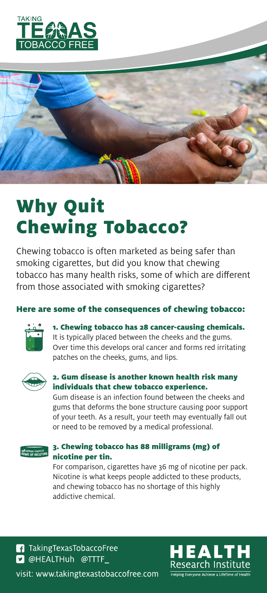



# Why Quit Chewing Tobacco?

Chewing tobacco is often marketed as being safer than smoking cigarettes, but did you know that chewing tobacco has many health risks, some of which are different from those associated with smoking cigarettes?

#### Here are some of the consequences of chewing tobacco:



1. Chewing tobacco has 28 cancer-causing chemicals.

It is typically placed between the cheeks and the gums. Over time this develops oral cancer and forms red irritating patches on the cheeks, gums, and lips.



#### 2. Gum disease is another known health risk many individuals that chew tobacco experience.

Gum disease is an infection found between the cheeks and gums that deforms the bone structure causing poor support of your teeth. As a result, your teeth may eventually fall out or need to be removed by a medical professional.



#### 3. Chewing tobacco has 88 milligrams (mg) of nicotine per tin.

For comparison, cigarettes have 36 mg of nicotine per pack. Nicotine is what keeps people addicted to these products, and chewing tobacco has no shortage of this highly addictive chemical.